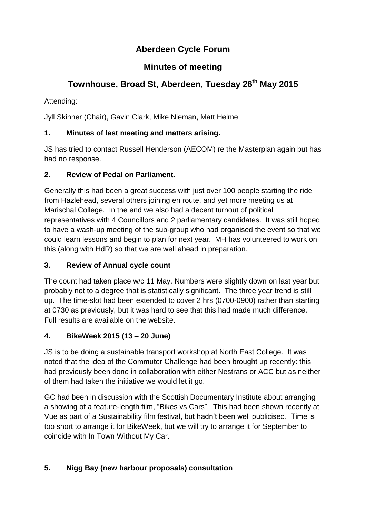# **Aberdeen Cycle Forum**

# **Minutes of meeting**

# **Townhouse, Broad St, Aberdeen, Tuesday 26th May 2015**

Attending:

Jyll Skinner (Chair), Gavin Clark, Mike Nieman, Matt Helme

# **1. Minutes of last meeting and matters arising.**

JS has tried to contact Russell Henderson (AECOM) re the Masterplan again but has had no response.

## **2. Review of Pedal on Parliament.**

Generally this had been a great success with just over 100 people starting the ride from Hazlehead, several others joining en route, and yet more meeting us at Marischal College. In the end we also had a decent turnout of political representatives with 4 Councillors and 2 parliamentary candidates. It was still hoped to have a wash-up meeting of the sub-group who had organised the event so that we could learn lessons and begin to plan for next year. MH has volunteered to work on this (along with HdR) so that we are well ahead in preparation.

### **3. Review of Annual cycle count**

The count had taken place w/c 11 May. Numbers were slightly down on last year but probably not to a degree that is statistically significant. The three year trend is still up. The time-slot had been extended to cover 2 hrs (0700-0900) rather than starting at 0730 as previously, but it was hard to see that this had made much difference. Full results are available on the website.

# **4. BikeWeek 2015 (13 – 20 June)**

JS is to be doing a sustainable transport workshop at North East College. It was noted that the idea of the Commuter Challenge had been brought up recently: this had previously been done in collaboration with either Nestrans or ACC but as neither of them had taken the initiative we would let it go.

GC had been in discussion with the Scottish Documentary Institute about arranging a showing of a feature-length film, "Bikes vs Cars". This had been shown recently at Vue as part of a Sustainability film festival, but hadn't been well publicised. Time is too short to arrange it for BikeWeek, but we will try to arrange it for September to coincide with In Town Without My Car.

# **5. Nigg Bay (new harbour proposals) consultation**